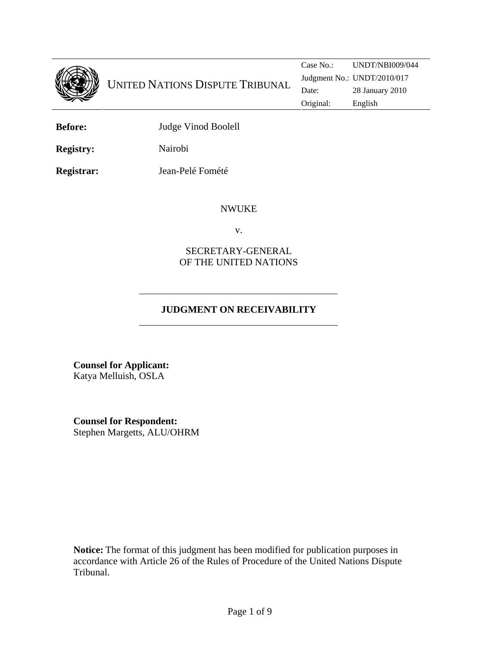

**Before:** Judge Vinod Boolell

**Registry:** Nairobi

**Registrar:** Jean-Pelé Fomété

#### NWUKE

v.

### SECRETARY-GENERAL OF THE UNITED NATIONS

# **JUDGMENT ON RECEIVABILITY**

**Counsel for Applicant:**  Katya Melluish, OSLA

**Counsel for Respondent:**  Stephen Margetts, ALU/OHRM

**Notice:** The format of this judgment has been modified for publication purposes in accordance with Article 26 of the Rules of Procedure of the United Nations Dispute Tribunal.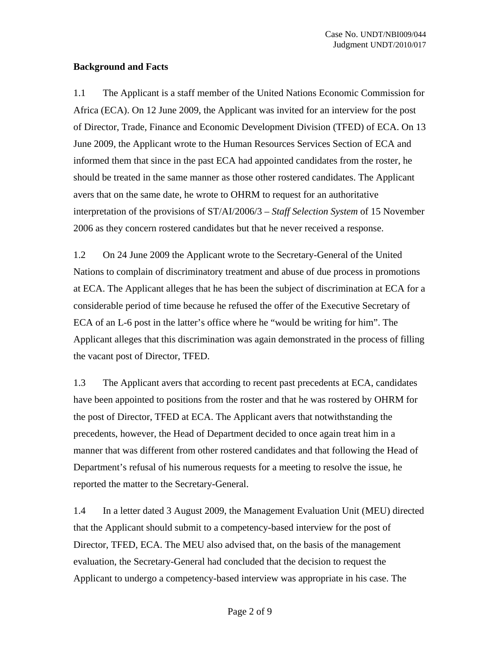#### **Background and Facts**

1.1 The Applicant is a staff member of the United Nations Economic Commission for Africa (ECA). On 12 June 2009, the Applicant was invited for an interview for the post of Director, Trade, Finance and Economic Development Division (TFED) of ECA. On 13 June 2009, the Applicant wrote to the Human Resources Services Section of ECA and informed them that since in the past ECA had appointed candidates from the roster, he should be treated in the same manner as those other rostered candidates. The Applicant avers that on the same date, he wrote to OHRM to request for an authoritative interpretation of the provisions of ST/AI/2006/3 – *Staff Selection System* of 15 November 2006 as they concern rostered candidates but that he never received a response.

1.2 On 24 June 2009 the Applicant wrote to the Secretary-General of the United Nations to complain of discriminatory treatment and abuse of due process in promotions at ECA. The Applicant alleges that he has been the subject of discrimination at ECA for a considerable period of time because he refused the offer of the Executive Secretary of ECA of an L-6 post in the latter's office where he "would be writing for him". The Applicant alleges that this discrimination was again demonstrated in the process of filling the vacant post of Director, TFED.

1.3 The Applicant avers that according to recent past precedents at ECA, candidates have been appointed to positions from the roster and that he was rostered by OHRM for the post of Director, TFED at ECA. The Applicant avers that notwithstanding the precedents, however, the Head of Department decided to once again treat him in a manner that was different from other rostered candidates and that following the Head of Department's refusal of his numerous requests for a meeting to resolve the issue, he reported the matter to the Secretary-General.

1.4 In a letter dated 3 August 2009, the Management Evaluation Unit (MEU) directed that the Applicant should submit to a competency-based interview for the post of Director, TFED, ECA. The MEU also advised that, on the basis of the management evaluation, the Secretary-General had concluded that the decision to request the Applicant to undergo a competency-based interview was appropriate in his case. The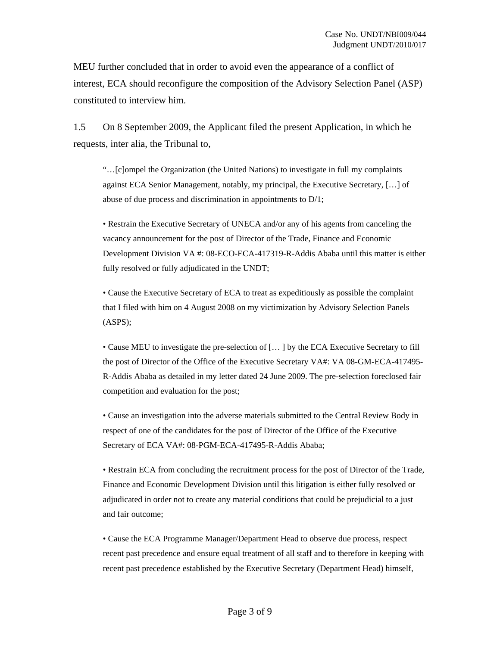MEU further concluded that in order to avoid even the appearance of a conflict of interest, ECA should reconfigure the composition of the Advisory Selection Panel (ASP) constituted to interview him.

1.5 On 8 September 2009, the Applicant filed the present Application, in which he requests, inter alia, the Tribunal to,

"…[c]ompel the Organization (the United Nations) to investigate in full my complaints against ECA Senior Management, notably, my principal, the Executive Secretary, […] of abuse of due process and discrimination in appointments to D/1;

• Restrain the Executive Secretary of UNECA and/or any of his agents from canceling the vacancy announcement for the post of Director of the Trade, Finance and Economic Development Division VA #: 08-ECO-ECA-417319-R-Addis Ababa until this matter is either fully resolved or fully adjudicated in the UNDT;

• Cause the Executive Secretary of ECA to treat as expeditiously as possible the complaint that I filed with him on 4 August 2008 on my victimization by Advisory Selection Panels (ASPS);

• Cause MEU to investigate the pre-selection of [… ] by the ECA Executive Secretary to fill the post of Director of the Office of the Executive Secretary VA#: VA 08-GM-ECA-417495- R-Addis Ababa as detailed in my letter dated 24 June 2009. The pre-selection foreclosed fair competition and evaluation for the post;

• Cause an investigation into the adverse materials submitted to the Central Review Body in respect of one of the candidates for the post of Director of the Office of the Executive Secretary of ECA VA#: 08-PGM-ECA-417495-R-Addis Ababa;

• Restrain ECA from concluding the recruitment process for the post of Director of the Trade, Finance and Economic Development Division until this litigation is either fully resolved or adjudicated in order not to create any material conditions that could be prejudicial to a just and fair outcome;

• Cause the ECA Programme Manager/Department Head to observe due process, respect recent past precedence and ensure equal treatment of all staff and to therefore in keeping with recent past precedence established by the Executive Secretary (Department Head) himself,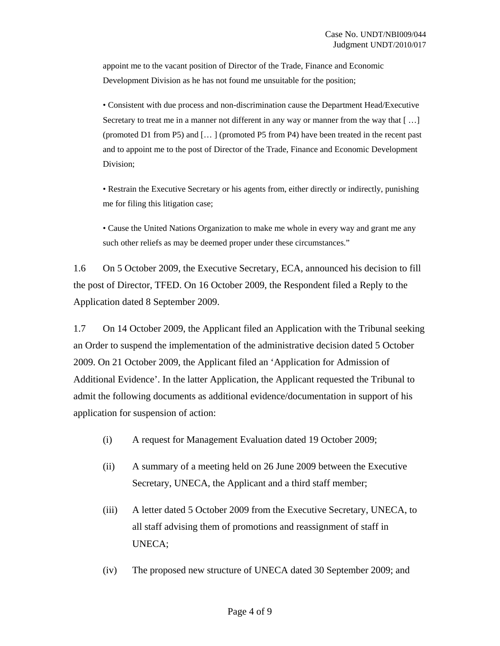appoint me to the vacant position of Director of the Trade, Finance and Economic Development Division as he has not found me unsuitable for the position;

• Consistent with due process and non-discrimination cause the Department Head/Executive Secretary to treat me in a manner not different in any way or manner from the way that  $[\dots]$ (promoted D1 from P5) and [… ] (promoted P5 from P4) have been treated in the recent past and to appoint me to the post of Director of the Trade, Finance and Economic Development Division;

• Restrain the Executive Secretary or his agents from, either directly or indirectly, punishing me for filing this litigation case;

• Cause the United Nations Organization to make me whole in every way and grant me any such other reliefs as may be deemed proper under these circumstances."

1.6 On 5 October 2009, the Executive Secretary, ECA, announced his decision to fill the post of Director, TFED. On 16 October 2009, the Respondent filed a Reply to the Application dated 8 September 2009.

1.7 On 14 October 2009, the Applicant filed an Application with the Tribunal seeking an Order to suspend the implementation of the administrative decision dated 5 October 2009. On 21 October 2009, the Applicant filed an 'Application for Admission of Additional Evidence'. In the latter Application, the Applicant requested the Tribunal to admit the following documents as additional evidence/documentation in support of his application for suspension of action:

- (i) A request for Management Evaluation dated 19 October 2009;
- (ii) A summary of a meeting held on 26 June 2009 between the Executive Secretary, UNECA, the Applicant and a third staff member;
- (iii) A letter dated 5 October 2009 from the Executive Secretary, UNECA, to all staff advising them of promotions and reassignment of staff in UNECA;
- (iv) The proposed new structure of UNECA dated 30 September 2009; and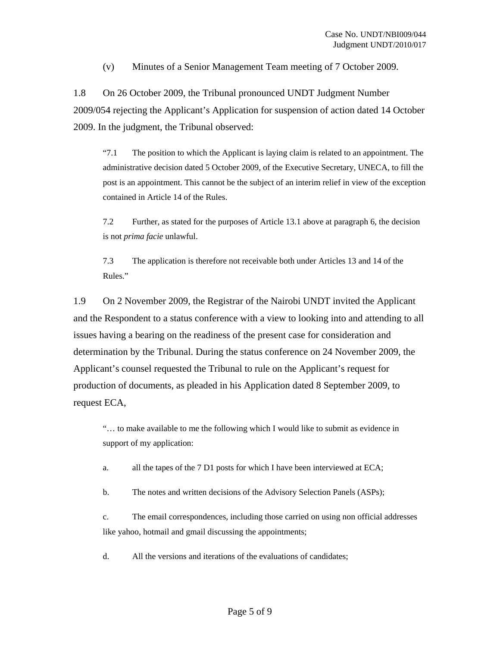(v) Minutes of a Senior Management Team meeting of 7 October 2009.

1.8 On 26 October 2009, the Tribunal pronounced UNDT Judgment Number 2009/054 rejecting the Applicant's Application for suspension of action dated 14 October 2009. In the judgment, the Tribunal observed:

"7.1 The position to which the Applicant is laying claim is related to an appointment. The administrative decision dated 5 October 2009, of the Executive Secretary, UNECA, to fill the post is an appointment. This cannot be the subject of an interim relief in view of the exception contained in Article 14 of the Rules.

7.2 Further, as stated for the purposes of Article 13.1 above at paragraph 6, the decision is not *prima facie* unlawful.

7.3 The application is therefore not receivable both under Articles 13 and 14 of the Rules."

1.9 On 2 November 2009, the Registrar of the Nairobi UNDT invited the Applicant and the Respondent to a status conference with a view to looking into and attending to all issues having a bearing on the readiness of the present case for consideration and determination by the Tribunal. During the status conference on 24 November 2009, the Applicant's counsel requested the Tribunal to rule on the Applicant's request for production of documents, as pleaded in his Application dated 8 September 2009, to request ECA,

"… to make available to me the following which I would like to submit as evidence in support of my application:

a. all the tapes of the 7 D1 posts for which I have been interviewed at ECA;

b. The notes and written decisions of the Advisory Selection Panels (ASPs);

c. The email correspondences, including those carried on using non official addresses like yahoo, hotmail and gmail discussing the appointments;

d. All the versions and iterations of the evaluations of candidates;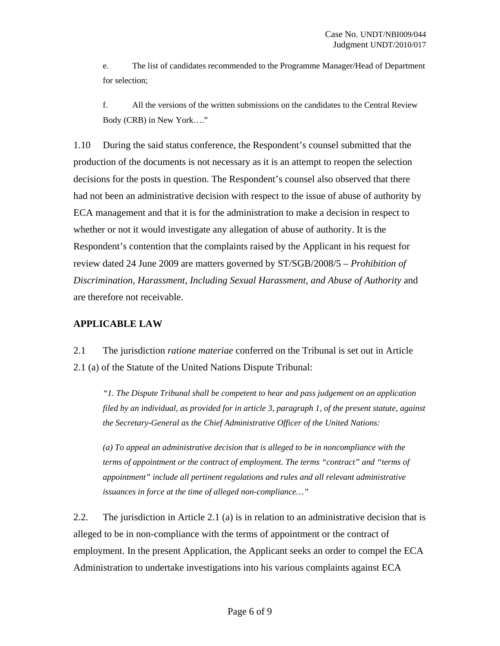e. The list of candidates recommended to the Programme Manager/Head of Department for selection;

f. All the versions of the written submissions on the candidates to the Central Review Body (CRB) in New York…."

1.10 During the said status conference, the Respondent's counsel submitted that the production of the documents is not necessary as it is an attempt to reopen the selection decisions for the posts in question. The Respondent's counsel also observed that there had not been an administrative decision with respect to the issue of abuse of authority by ECA management and that it is for the administration to make a decision in respect to whether or not it would investigate any allegation of abuse of authority. It is the Respondent's contention that the complaints raised by the Applicant in his request for review dated 24 June 2009 are matters governed by ST/SGB/2008/5 – *Prohibition of Discrimination, Harassment, Including Sexual Harassment, and Abuse of Authority* and are therefore not receivable.

## **APPLICABLE LAW**

2.1 The jurisdiction *ratione materiae* conferred on the Tribunal is set out in Article 2.1 (a) of the Statute of the United Nations Dispute Tribunal:

*"1. The Dispute Tribunal shall be competent to hear and pass judgement on an application filed by an individual, as provided for in article 3, paragraph 1, of the present statute, against the Secretary-General as the Chief Administrative Officer of the United Nations:* 

*(a) To appeal an administrative decision that is alleged to be in noncompliance with the terms of appointment or the contract of employment. The terms "contract" and "terms of appointment" include all pertinent regulations and rules and all relevant administrative issuances in force at the time of alleged non-compliance…"* 

2.2. The jurisdiction in Article 2.1 (a) is in relation to an administrative decision that is alleged to be in non-compliance with the terms of appointment or the contract of employment. In the present Application, the Applicant seeks an order to compel the ECA Administration to undertake investigations into his various complaints against ECA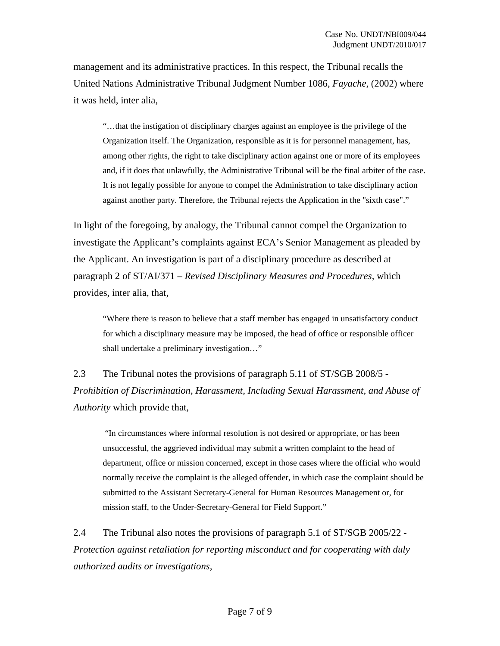management and its administrative practices. In this respect, the Tribunal recalls the United Nations Administrative Tribunal Judgment Number 1086, *Fayache*, (2002) where it was held, inter alia,

"…that the instigation of disciplinary charges against an employee is the privilege of the Organization itself. The Organization, responsible as it is for personnel management, has, among other rights, the right to take disciplinary action against one or more of its employees and, if it does that unlawfully, the Administrative Tribunal will be the final arbiter of the case. It is not legally possible for anyone to compel the Administration to take disciplinary action against another party. Therefore, the Tribunal rejects the Application in the "sixth case"."

In light of the foregoing, by analogy, the Tribunal cannot compel the Organization to investigate the Applicant's complaints against ECA's Senior Management as pleaded by the Applicant. An investigation is part of a disciplinary procedure as described at paragraph 2 of ST/AI/371 – *Revised Disciplinary Measures and Procedures,* which provides, inter alia, that,

"Where there is reason to believe that a staff member has engaged in unsatisfactory conduct for which a disciplinary measure may be imposed, the head of office or responsible officer shall undertake a preliminary investigation…"

2.3 The Tribunal notes the provisions of paragraph 5.11 of ST/SGB 2008/5 - *Prohibition of Discrimination, Harassment, Including Sexual Harassment, and Abuse of Authority* which provide that,

 "In circumstances where informal resolution is not desired or appropriate, or has been unsuccessful, the aggrieved individual may submit a written complaint to the head of department, office or mission concerned, except in those cases where the official who would normally receive the complaint is the alleged offender, in which case the complaint should be submitted to the Assistant Secretary-General for Human Resources Management or, for mission staff, to the Under-Secretary-General for Field Support."

2.4 The Tribunal also notes the provisions of paragraph 5.1 of ST/SGB 2005/22 - *Protection against retaliation for reporting misconduct and for cooperating with duly authorized audits or investigations,*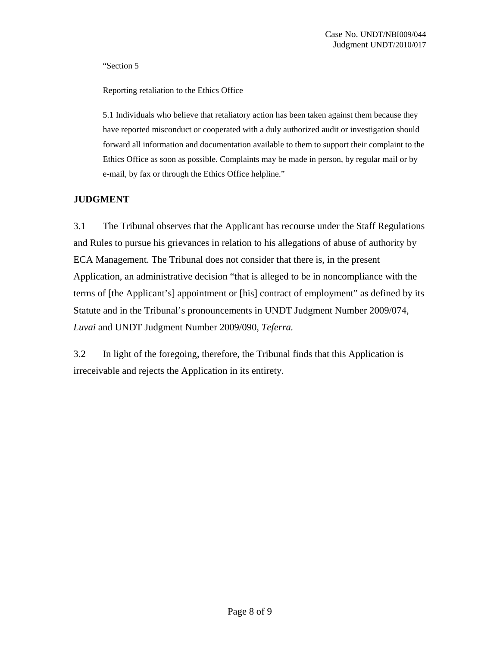"Section 5

Reporting retaliation to the Ethics Office

5.1 Individuals who believe that retaliatory action has been taken against them because they have reported misconduct or cooperated with a duly authorized audit or investigation should forward all information and documentation available to them to support their complaint to the Ethics Office as soon as possible. Complaints may be made in person, by regular mail or by e-mail, by fax or through the Ethics Office helpline."

## **JUDGMENT**

3.1 The Tribunal observes that the Applicant has recourse under the Staff Regulations and Rules to pursue his grievances in relation to his allegations of abuse of authority by ECA Management. The Tribunal does not consider that there is, in the present Application, an administrative decision "that is alleged to be in noncompliance with the terms of [the Applicant's] appointment or [his] contract of employment" as defined by its Statute and in the Tribunal's pronouncements in UNDT Judgment Number 2009/074, *Luvai* and UNDT Judgment Number 2009/090, *Teferra.* 

3.2 In light of the foregoing, therefore, the Tribunal finds that this Application is irreceivable and rejects the Application in its entirety.